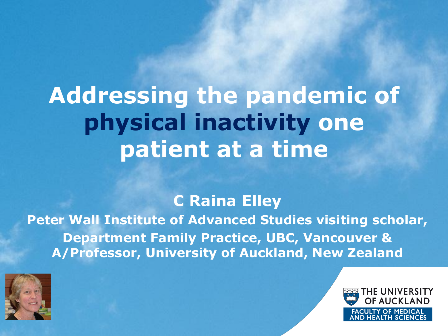# **Addressing the pandemic of physical inactivity one patient at a time**

#### **C Raina Elley**

**Peter Wall Institute of Advanced Studies visiting scholar, Department Family Practice, UBC, Vancouver & A/Professor, University of Auckland, New Zealand**



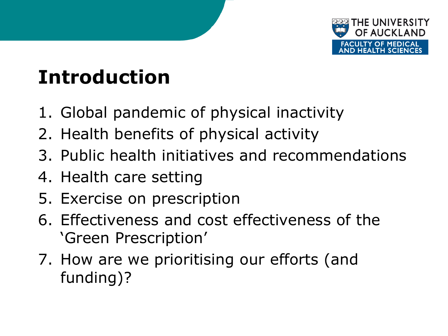

# **Introduction**

- 1. Global pandemic of physical inactivity
- 2. Health benefits of physical activity
- 3. Public health initiatives and recommendations
- 4. Health care setting
- 5. Exercise on prescription
- 6. Effectiveness and cost effectiveness of the 'Green Prescription'
- 7. How are we prioritising our efforts (and funding)?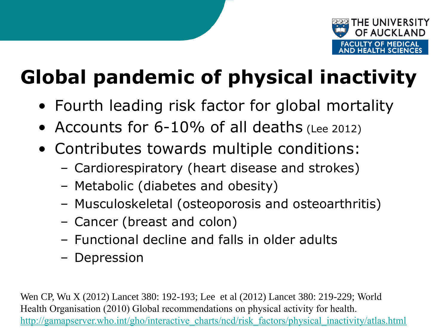

# **Global pandemic of physical inactivity**

- Fourth leading risk factor for global mortality
- Accounts for 6-10% of all deaths (Lee 2012)
- Contributes towards multiple conditions:
	- Cardiorespiratory (heart disease and strokes)
	- Metabolic (diabetes and obesity)
	- Musculoskeletal (osteoporosis and osteoarthritis)
	- Cancer (breast and colon)
	- Functional decline and falls in older adults
	- Depression

Wen CP, Wu X (2012) Lancet 380: 192-193; Lee et al (2012) Lancet 380: 219-229; World Health Organisation (2010) Global recommendations on physical activity for health. [http://gamapserver.who.int/gho/interactive\\_charts/ncd/risk\\_factors/physical\\_inactivity/atlas.html](http://gamapserver.who.int/gho/interactive_charts/ncd/risk_factors/physical_inactivity/atlas.html)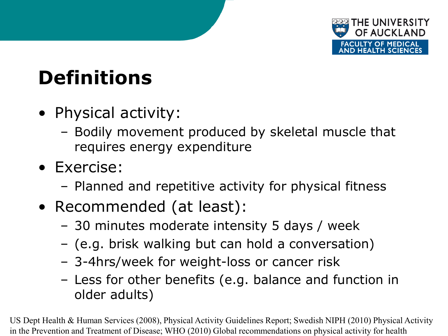

# **Definitions**

- Physical activity:
	- Bodily movement produced by skeletal muscle that requires energy expenditure
- Exercise:
	- Planned and repetitive activity for physical fitness
- Recommended (at least):
	- 30 minutes moderate intensity 5 days / week
	- (e.g. brisk walking but can hold a conversation)
	- 3-4hrs/week for weight-loss or cancer risk
	- Less for other benefits (e.g. balance and function in older adults)

US Dept Health & Human Services (2008), Physical Activity Guidelines Report; Swedish NIPH (2010) Physical Activity in the Prevention and Treatment of Disease; WHO (2010) Global recommendations on physical activity for health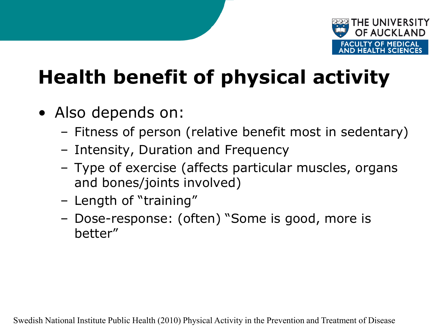

# **Health benefit of physical activity**

- Also depends on:
	- Fitness of person (relative benefit most in sedentary)
	- Intensity, Duration and Frequency
	- Type of exercise (affects particular muscles, organs and bones/joints involved)
	- Length of "training"
	- Dose-response: (often) "Some is good, more is better"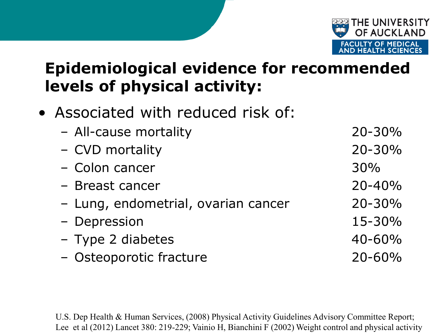

#### **Epidemiological evidence for recommended levels of physical activity:**

• Associated with reduced risk of:

| - All-cause mortality               | 20-30%     |
|-------------------------------------|------------|
| - CVD mortality                     | 20-30%     |
| - Colon cancer                      | 30%        |
| - Breast cancer                     | $20 - 40%$ |
| - Lung, endometrial, ovarian cancer | $20 - 30%$ |
| - Depression                        | 15-30%     |
| - Type 2 diabetes                   | 40-60%     |
| - Osteoporotic fracture             | 20-60%     |

U.S. Dep Health & Human Services, (2008) Physical Activity Guidelines Advisory Committee Report; Lee et al (2012) Lancet 380: 219-229; Vainio H, Bianchini F (2002) Weight control and physical activity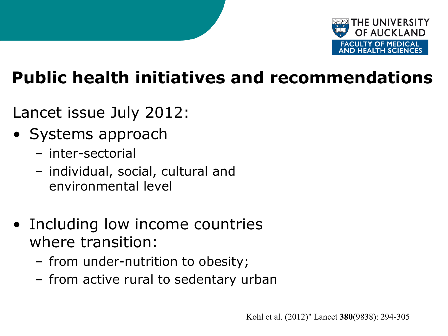

#### **Public health initiatives and recommendations**

- Lancet issue July 2012:
- Systems approach
	- inter-sectorial
	- individual, social, cultural and environmental level
- Including low income countries where transition:
	- from under-nutrition to obesity;
	- from active rural to sedentary urban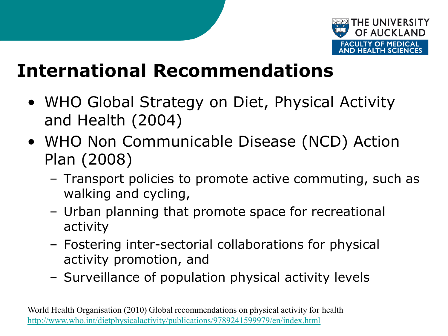

- WHO Global Strategy on Diet, Physical Activity and Health (2004)
- WHO Non Communicable Disease (NCD) Action Plan (2008)
	- Transport policies to promote active commuting, such as walking and cycling,
	- Urban planning that promote space for recreational activity
	- Fostering inter-sectorial collaborations for physical activity promotion, and
	- Surveillance of population physical activity levels

World Health Organisation (2010) Global recommendations on physical activity for health <http://www.who.int/dietphysicalactivity/publications/9789241599979/en/index.html>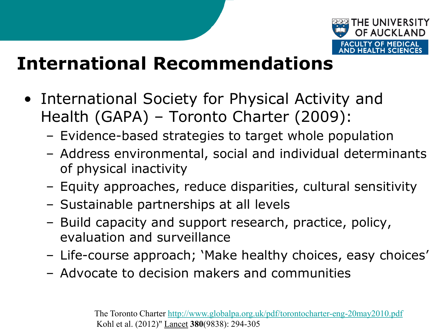

- International Society for Physical Activity and Health (GAPA) – Toronto Charter (2009):
	- Evidence-based strategies to target whole population
	- Address environmental, social and individual determinants of physical inactivity
	- Equity approaches, reduce disparities, cultural sensitivity
	- Sustainable partnerships at all levels
	- Build capacity and support research, practice, policy, evaluation and surveillance
	- Life-course approach; 'Make healthy choices, easy choices'
	- Advocate to decision makers and communities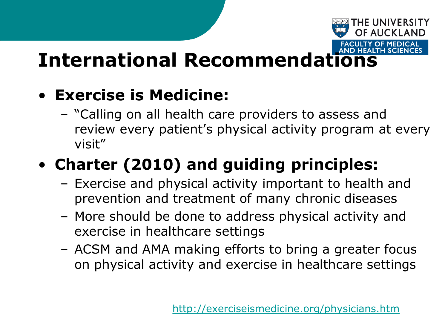#### • **Exercise is Medicine:**

– "Calling on all health care providers to assess and review every patient's physical activity program at every visit"

## • **Charter (2010) and guiding principles:**

- Exercise and physical activity important to health and prevention and treatment of many chronic diseases
- More should be done to address physical activity and exercise in healthcare settings
- ACSM and AMA making efforts to bring a greater focus on physical activity and exercise in healthcare settings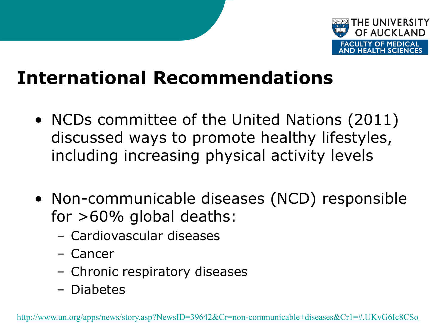

- NCDs committee of the United Nations (2011) discussed ways to promote healthy lifestyles, including increasing physical activity levels
- Non-communicable diseases (NCD) responsible for  $>60\%$  global deaths:
	- Cardiovascular diseases
	- Cancer
	- Chronic respiratory diseases
	- Diabetes

[http://www.un.org/apps/news/story.asp?NewsID=39642&Cr=non-communicable+diseases&Cr1=#.UKvG6Ic8CSo](http://www.un.org/apps/news/story.asp?NewsID=39642&Cr=non-communicable+diseases&Cr1=)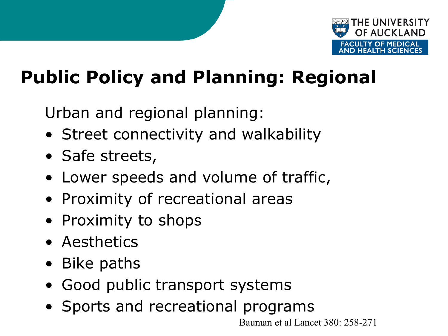

# **Public Policy and Planning: Regional**

Urban and regional planning:

- Street connectivity and walkability
- Safe streets,
- Lower speeds and volume of traffic,
- Proximity of recreational areas
- Proximity to shops
- Aesthetics
- Bike paths
- Good public transport systems
- Sports and recreational programs

Bauman et al Lancet 380: 258-271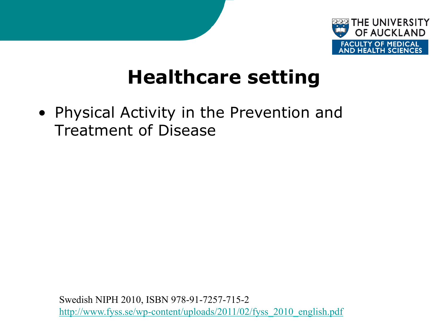

## **Healthcare setting**

• Physical Activity in the Prevention and Treatment of Disease

Swedish NIPH 2010, ISBN 978-91-7257-715-2 [http://www.fyss.se/wp-content/uploads/2011/02/fyss\\_2010\\_english.pdf](http://www.fyss.se/wp-content/uploads/2011/02/fyss_2010_english.pdf)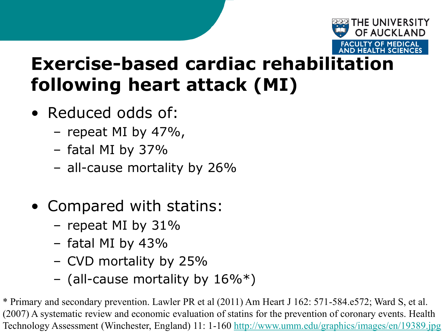

## **Exercise-based cardiac rehabilitation following heart attack (MI)**

- Reduced odds of:
	- repeat MI by 47%,
	- fatal MI by 37%
	- all-cause mortality by 26%
- Compared with statins:
	- repeat MI by 31%
	- fatal MI by 43%
	- CVD mortality by 25%
	- (all-cause mortality by  $16\%$ <sup>\*</sup>)

\* Primary and secondary prevention. Lawler PR et al (2011) Am Heart J 162: 571-584.e572; Ward S, et al. (2007) A systematic review and economic evaluation of statins for the prevention of coronary events. Health Technology Assessment (Winchester, England) 11: 1-160 <http://www.umm.edu/graphics/images/en/19389.jpg>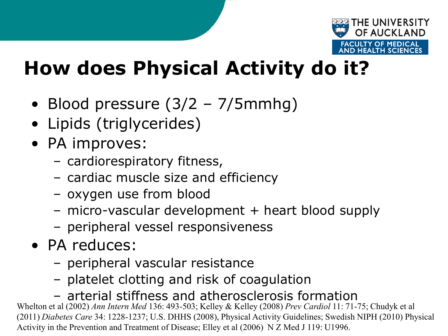

# **How does Physical Activity do it?**

- Blood pressure (3/2 7/5mmhg)
- Lipids (triglycerides)
- PA improves:
	- cardiorespiratory fitness,
	- cardiac muscle size and efficiency
	- oxygen use from blood
	- micro-vascular development + heart blood supply
	- peripheral vessel responsiveness
- PA reduces:
	- peripheral vascular resistance
	- platelet clotting and risk of coagulation

– arterial stiffness and atherosclerosis formation

Whelton et al (2002) *Ann Intern Med* 136: 493-503; Kelley & Kelley (2008) *Prev Cardiol* 11: 71-75; Chudyk et al (2011) *Diabetes Care* 34: 1228-1237; U.S. DHHS (2008), Physical Activity Guidelines; Swedish NIPH (2010) Physical Activity in the Prevention and Treatment of Disease; Elley et al (2006) N Z Med J 119: U1996.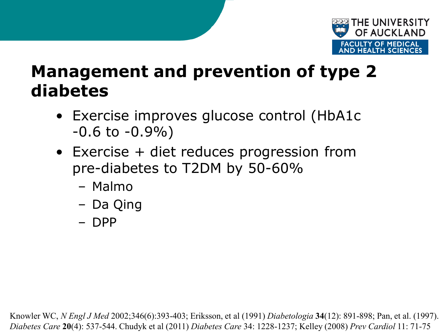

#### **Management and prevention of type 2 diabetes**

- Exercise improves glucose control (HbA1c  $-0.6$  to  $-0.9\%$ )
- Exercise + diet reduces progression from pre-diabetes to T2DM by 50-60%
	- Malmo
	- Da Qing
	- DPP

Knowler WC, *N Engl J Med* 2002;346(6):393-403; Eriksson, et al (1991) *Diabetologia* **34**(12): 891-898; Pan, et al. (1997). *Diabetes Care* **20**(4): 537-544. Chudyk et al (2011) *Diabetes Care* 34: 1228-1237; Kelley (2008) *Prev Cardiol* 11: 71-75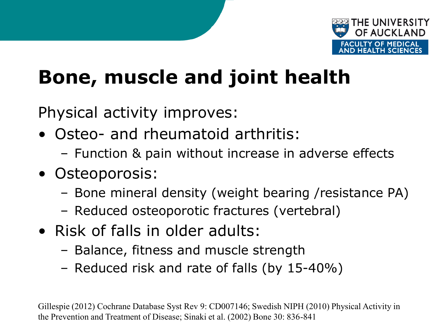

# **Bone, muscle and joint health**

Physical activity improves:

- Osteo- and rheumatoid arthritis:
	- Function & pain without increase in adverse effects
- Osteoporosis:
	- Bone mineral density (weight bearing /resistance PA)
	- Reduced osteoporotic fractures (vertebral)
- Risk of falls in older adults:
	- Balance, fitness and muscle strength
	- Reduced risk and rate of falls (by 15-40%)

Gillespie (2012) Cochrane Database Syst Rev 9: CD007146; Swedish NIPH (2010) Physical Activity in the Prevention and Treatment of Disease; Sinaki et al. (2002) Bone 30: 836-841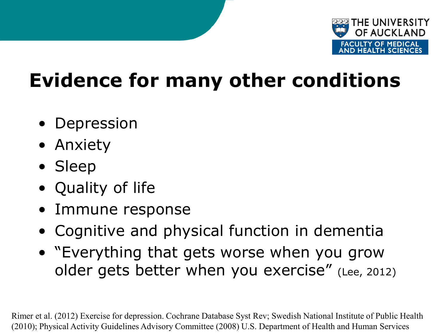

# **Evidence for many other conditions**

- Depression
- Anxiety
- Sleep
- Quality of life
- Immune response
- Cognitive and physical function in dementia
- "Everything that gets worse when you grow older gets better when you exercise" (Lee, 2012)

Rimer et al. (2012) Exercise for depression. Cochrane Database Syst Rev; Swedish National Institute of Public Health (2010); Physical Activity Guidelines Advisory Committee (2008) U.S. Department of Health and Human Services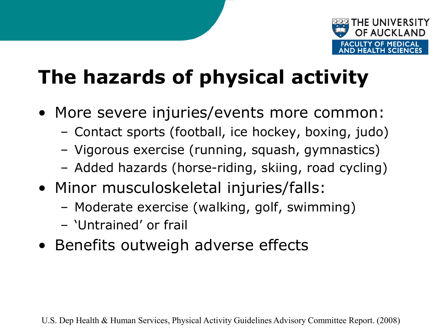

# **The hazards of physical activity**

- More severe injuries/events more common:
	- Contact sports (football, ice hockey, boxing, judo)
	- Vigorous exercise (running, squash, gymnastics)
	- Added hazards (horse-riding, skiing, road cycling)
- Minor musculoskeletal injuries/falls:
	- Moderate exercise (walking, golf, swimming)
	- 'Untrained' or frail
- Benefits outweigh adverse effects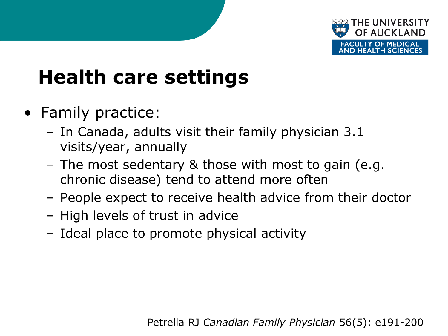

# **Health care settings**

- Family practice:
	- In Canada, adults visit their family physician 3.1 visits/year, annually
	- The most sedentary & those with most to gain (e.g. chronic disease) tend to attend more often
	- People expect to receive health advice from their doctor
	- High levels of trust in advice
	- Ideal place to promote physical activity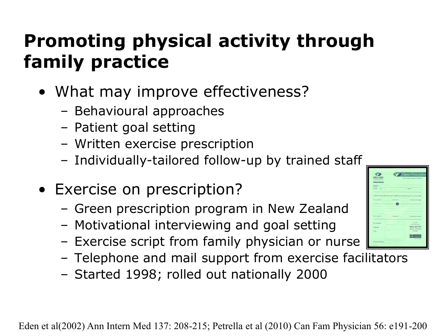# **Promoting physical activity through family practice**

- What may improve effectiveness?
	- Behavioural approaches
	- Patient goal setting
	- Written exercise prescription
	- Individually-tailored follow-up by trained staff
- Exercise on prescription?
	- Green prescription program in New Zealand
	- Motivational interviewing and goal setting
	- Exercise script from family physician or nurse
	- Telephone and mail support from exercise facilitators
	- Started 1998; rolled out nationally 2000

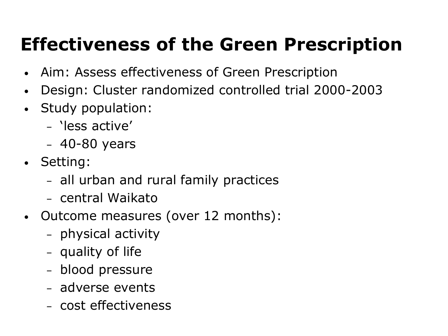# **Effectiveness of the Green Prescription**

- Aim: Assess effectiveness of Green Prescription
- Design: Cluster randomized controlled trial 2000-2003
- Study population:
	- 'less active'
	- 40-80 years
- Setting:
	- all urban and rural family practices
	- central Waikato
- Outcome measures (over 12 months):
	- physical activity
	- quality of life
	- blood pressure
	- adverse events
	- cost effectiveness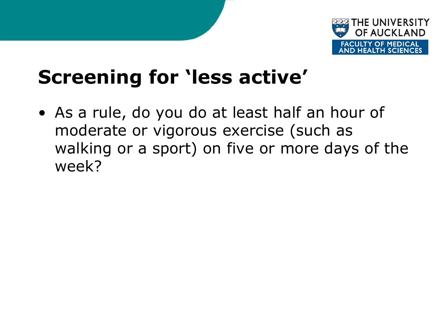

# **Screening for 'less active'**

• As a rule, do you do at least half an hour of moderate or vigorous exercise (such as walking or a sport) on five or more days of the week?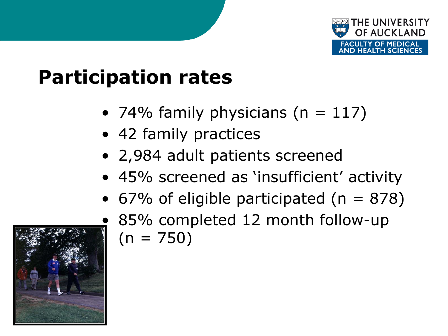

# **Participation rates**

- 74% family physicians ( $n = 117$ )
- 42 family practices
- 2,984 adult patients screened
- 45% screened as 'insufficient' activity
- 67% of eligible participated ( $n = 878$ )
	- 85% completed 12 month follow-up  $(n = 750)$

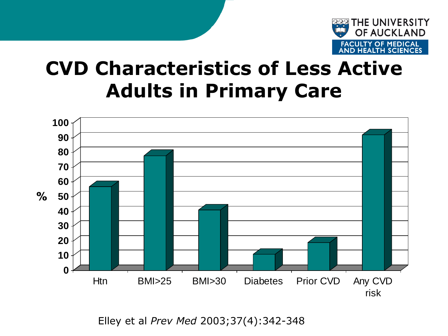

## **CVD Characteristics of Less Active Adults in Primary Care**



Elley et al *Prev Med* 2003;37(4):342-348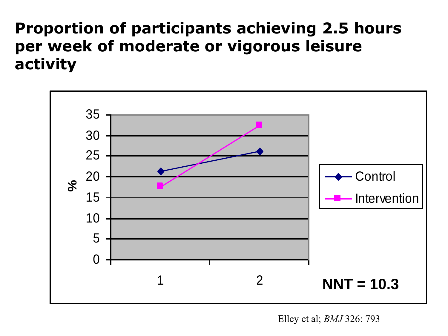#### **Proportion of participants achieving 2.5 hours per week of moderate or vigorous leisure activity**



Elley et al; *BMJ* 326: 793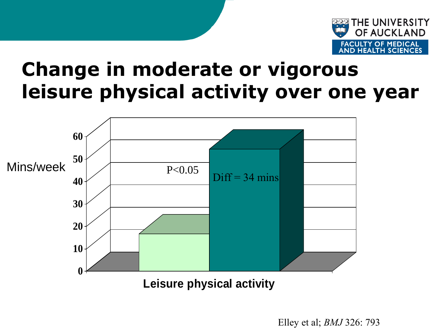

### **Change in moderate or vigorous leisure physical activity over one year**



Elley et al; *BMJ* 326: 793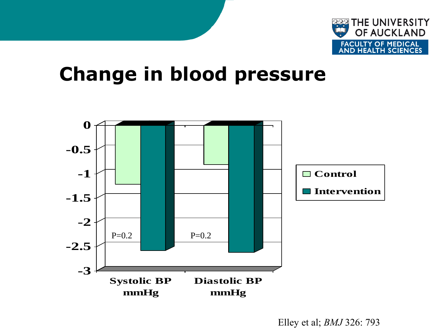

## **Change in blood pressure**

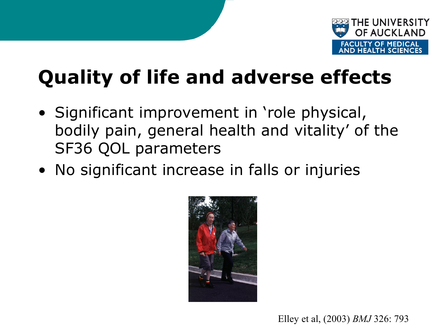

# **Quality of life and adverse effects**

- Significant improvement in 'role physical, bodily pain, general health and vitality' of the SF36 QOL parameters
- No significant increase in falls or injuries



Elley et al, (2003) *BMJ* 326: 793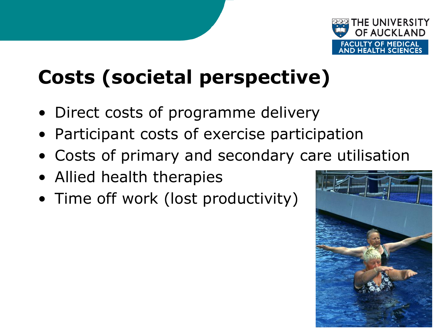

# **Costs (societal perspective)**

- Direct costs of programme delivery
- Participant costs of exercise participation
- Costs of primary and secondary care utilisation
- Allied health therapies
- Time off work (lost productivity)

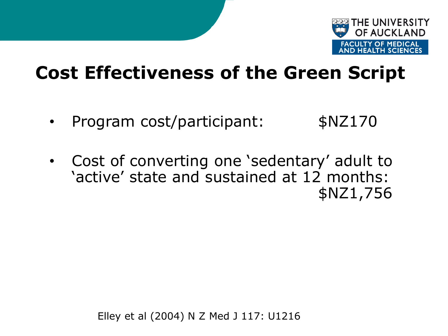

#### **Cost Effectiveness of the Green Script**

- Program cost/participant: \$NZ170
- Cost of converting one 'sedentary' adult to 'active' state and sustained at 12 months: \$NZ1,756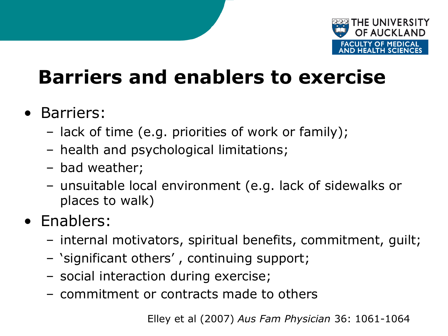

# **Barriers and enablers to exercise**

- Barriers:
	- lack of time (e.g. priorities of work or family);
	- health and psychological limitations;
	- bad weather;
	- unsuitable local environment (e.g. lack of sidewalks or places to walk)
- Enablers:
	- internal motivators, spiritual benefits, commitment, guilt;
	- 'significant others' , continuing support;
	- social interaction during exercise;
	- commitment or contracts made to others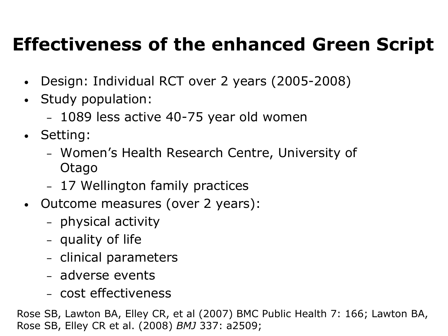## **Effectiveness of the enhanced Green Script**

- Design: Individual RCT over 2 years (2005-2008)
- Study population:
	- 1089 less active 40-75 year old women
- Setting:
	- Women's Health Research Centre, University of Otago
	- 17 Wellington family practices
- Outcome measures (over 2 years):
	- physical activity
	- quality of life
	- clinical parameters
	- adverse events
	- cost effectiveness

Rose SB, Lawton BA, Elley CR, et al (2007) BMC Public Health 7: 166; Lawton BA, Rose SB, Elley CR et al. (2008) *BMJ* 337: a2509;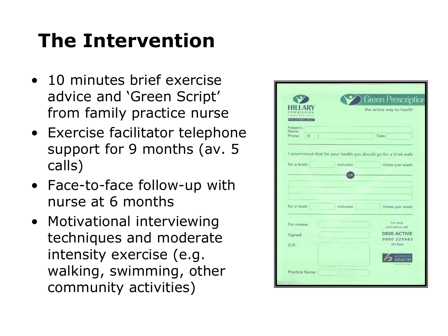# **The Intervention**

- 10 minutes brief exercise advice and 'Green Script' from family practice nurse
- Exercise facilitator telephone support for 9 months (av. 5 calls)
- Face-to-face follow-up with nurse at 6 months
- Motivational interviewing techniques and moderate intensity exercise (e.g. walking, swimming, other community activities)

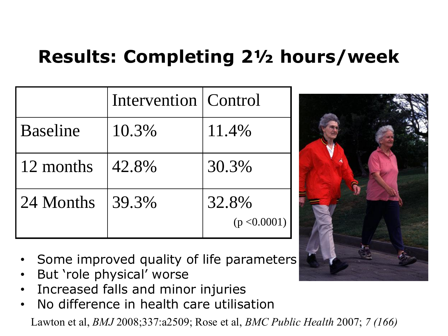## **Results: Completing 2½ hours/week**

|           | Intervention   Control |                       |
|-----------|------------------------|-----------------------|
| Baseline  | 10.3%                  | 11.4%                 |
| 12 months | 42.8%                  | 30.3%                 |
| 24 Months | 39.3%                  | 32.8%<br>(p < 0.0001) |



- Some improved quality of life parameters
- But 'role physical' worse
- Increased falls and minor injuries
- No difference in health care utilisation

Lawton et al, *BMJ* 2008;337:a2509; Rose et al, *BMC Public Health* 2007; *7 (166)*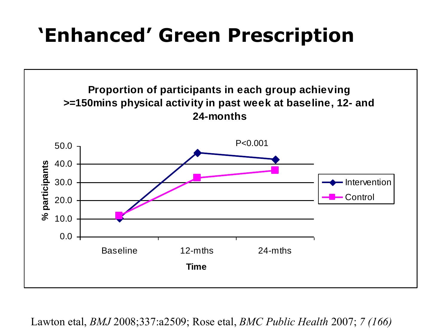# **'Enhanced' Green Prescription**



Lawton etal, *BMJ* 2008;337:a2509; Rose etal, *BMC Public Health* 2007; *7 (166)*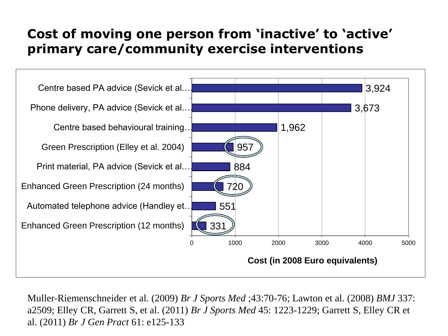#### **Cost of moving one person from 'inactive' to 'active' primary care/community exercise interventions**



Muller-Riemenschneider et al. (2009) *Br J Sports Med* ;43:70-76; Lawton et al. (2008) *BMJ* 337: a2509; Elley CR, Garrett S, et al. (2011) *Br J Sports Med* 45: 1223-1229; Garrett S, Elley CR et al. (2011) *Br J Gen Pract* 61: e125-133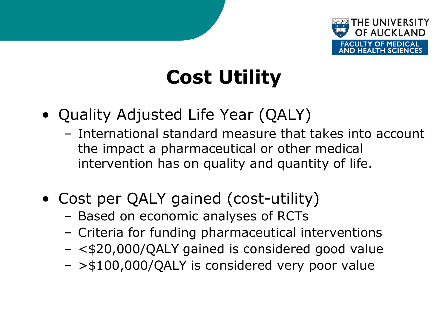

# **Cost Utility**

- Quality Adjusted Life Year (QALY)
	- International standard measure that takes into account the impact a pharmaceutical or other medical intervention has on quality and quantity of life.
- Cost per QALY gained (cost-utility)
	- Based on economic analyses of RCTs
	- Criteria for funding pharmaceutical interventions
	- <\$20,000/QALY gained is considered good value
	- >\$100,000/QALY is considered very poor value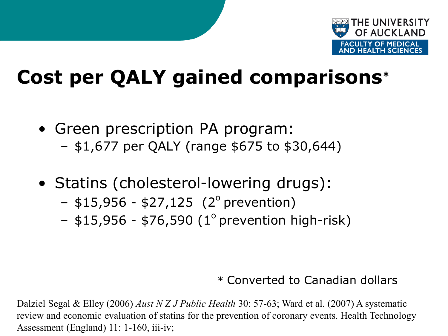

# **Cost per QALY gained comparisons\***

- Green prescription PA program: – \$1,677 per QALY (range \$675 to \$30,644)
- Statins (cholesterol-lowering drugs):
	- $-$  \$15,956 \$27,125 (2<sup>o</sup> prevention)
	- $-$  \$15,956 \$76,590 (1<sup>o</sup> prevention high-risk)

#### \* Converted to Canadian dollars

Dalziel Segal & Elley (2006) *Aust N Z J Public Health* 30: 57-63; Ward et al. (2007) A systematic review and economic evaluation of statins for the prevention of coronary events. Health Technology Assessment (England) 11: 1-160, iii-iv;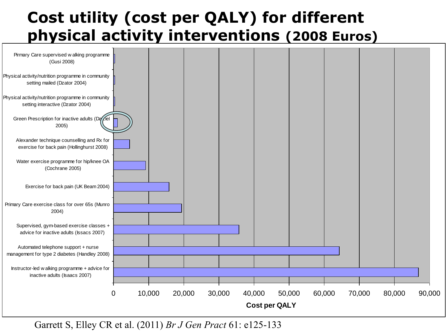#### **Cost utility (cost per QALY) for different physical activity interventions (2008 Euros) COST UTIIIT**<br>**Physical a**<br>Pirmary Care supervised w alking programme



Garrett S, Elley CR et al. (2011) *Br J Gen Pract* 61: e125-133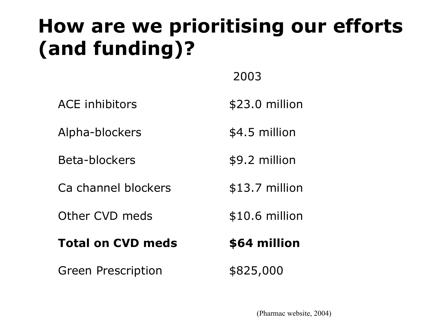# **How are we prioritising our efforts (and funding)?**

2003

ACE inhibitors  $$23.0$  million

Alpha-blockers \$4.5 million

Beta-blockers \$9.2 million

Ca channel blockers \$13.7 million

Other CVD meds

#### **Total on CVD meds**

Green Prescription  $$825,000$ 

\$10.6 million

#### **\$64 million**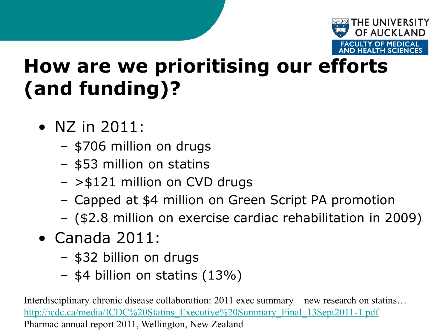

# **How are we prioritising our efforts (and funding)?**

- NZ in 2011:
	- \$706 million on drugs
	- \$53 million on statins
	- >\$121 million on CVD drugs
	- Capped at \$4 million on Green Script PA promotion
	- (\$2.8 million on exercise cardiac rehabilitation in 2009)
- Canada 2011:
	- \$32 billion on drugs
	- \$4 billion on statins (13%)

Interdisciplinary chronic disease collaboration: 2011 exec summary – new research on statins... [http://icdc.ca/media/ICDC%20Statins\\_Executive%20Summary\\_Final\\_13Sept2011-1.pdf](http://icdc.ca/media/ICDC Statins_Executive Summary_Final_13Sept2011-1.pdf) Pharmac annual report 2011, Wellington, New Zealand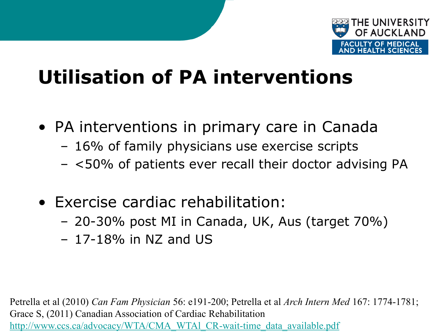

# **Utilisation of PA interventions**

- PA interventions in primary care in Canada
	- 16% of family physicians use exercise scripts
	- <50% of patients ever recall their doctor advising PA
- Exercise cardiac rehabilitation:
	- 20-30% post MI in Canada, UK, Aus (target 70%)
	- $-17-18\%$  in NZ and US

Petrella et al (2010) *Can Fam Physician* 56: e191-200; Petrella et al *Arch Intern Med* 167: 1774-1781; Grace S, (2011) Canadian Association of Cardiac Rehabilitation [http://www.ccs.ca/advocacy/WTA/CMA\\_WTAl\\_CR-wait-time\\_data\\_available.pdf](http://www.ccs.ca/advocacy/WTA/CMA_WTAl_CR-wait-time_data_available.pdf)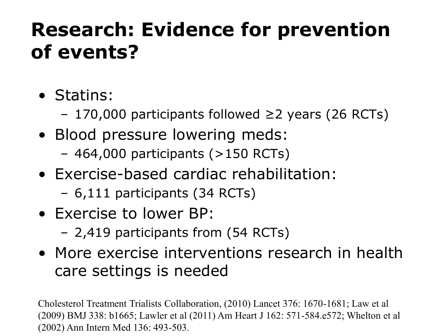# **Research: Evidence for prevention of events?**

- Statins:
	- 170,000 participants followed ≥2 years (26 RCTs)
- Blood pressure lowering meds:
	- $-464,000$  participants ( $>150$  RCTs)
- Exercise-based cardiac rehabilitation:
	- 6,111 participants (34 RCTs)
- Exercise to lower BP:
	- 2,419 participants from (54 RCTs)
- More exercise interventions research in health care settings is needed

Cholesterol Treatment Trialists Collaboration, (2010) Lancet 376: 1670-1681; Law et al (2009) BMJ 338: b1665; Lawler et al (2011) Am Heart J 162: 571-584.e572; Whelton et al (2002) Ann Intern Med 136: 493-503.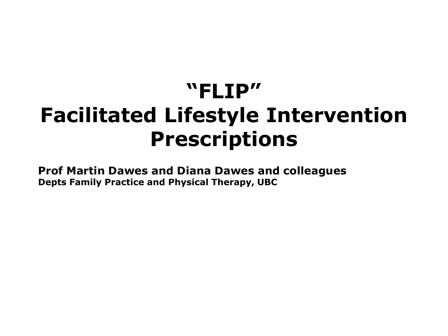# **"FLIP" Facilitated Lifestyle Intervention Prescriptions**

**Prof Martin Dawes and Diana Dawes and colleagues Depts Family Practice and Physical Therapy, UBC**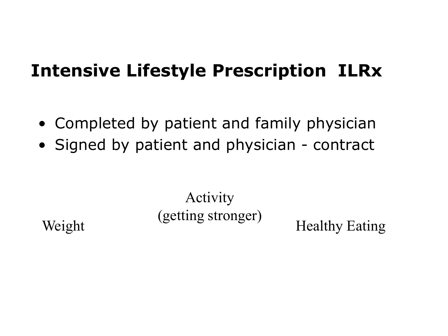#### **Intensive Lifestyle Prescription ILRx**

- Completed by patient and family physician
- Signed by patient and physician contract

Activity (getting stronger) Healthy Eating

Weight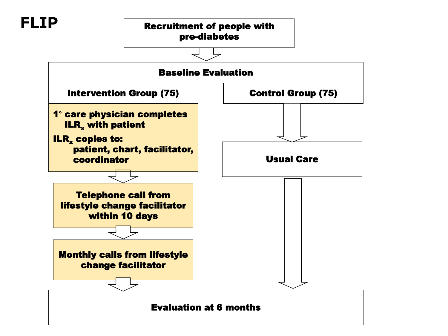#### **FLIP**